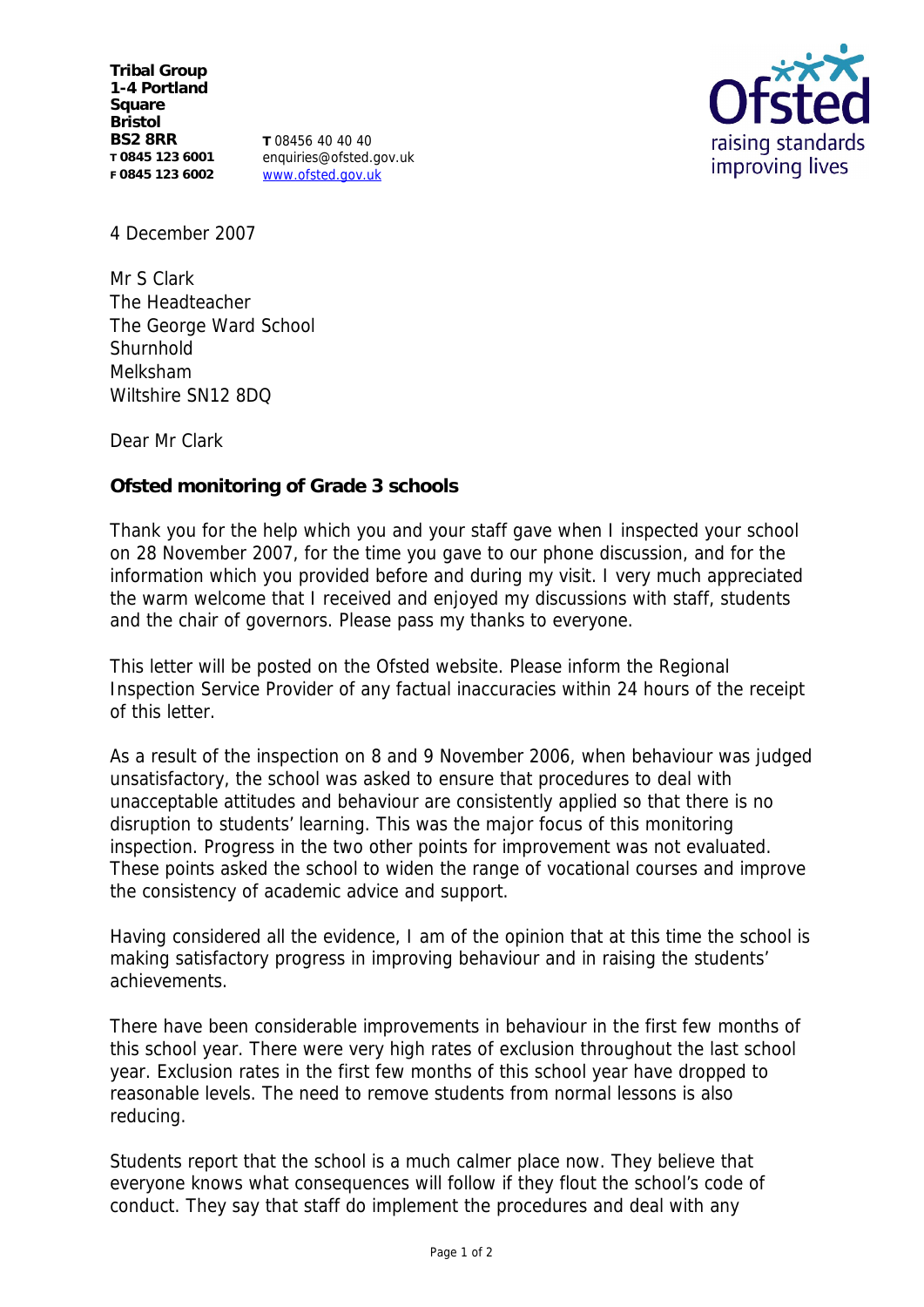**Tribal Group 1-4 Portland Square Bristol BS2 8RR T 0845 123 6001 F 0845 123 6002**

**T** 08456 40 40 40 enquiries@ofsted.gov.uk www.ofsted.gov.uk



4 December 2007

Mr S Clark The Headteacher The George Ward School **Shurnhold** Melksham Wiltshire SN12 8DQ

Dear Mr Clark

**Ofsted monitoring of Grade 3 schools** 

Thank you for the help which you and your staff gave when I inspected your school on 28 November 2007, for the time you gave to our phone discussion, and for the information which you provided before and during my visit. I very much appreciated the warm welcome that I received and enjoyed my discussions with staff, students and the chair of governors. Please pass my thanks to everyone.

This letter will be posted on the Ofsted website. Please inform the Regional Inspection Service Provider of any factual inaccuracies within 24 hours of the receipt of this letter.

As a result of the inspection on 8 and 9 November 2006, when behaviour was judged unsatisfactory, the school was asked to ensure that procedures to deal with unacceptable attitudes and behaviour are consistently applied so that there is no disruption to students' learning. This was the major focus of this monitoring inspection. Progress in the two other points for improvement was not evaluated. These points asked the school to widen the range of vocational courses and improve the consistency of academic advice and support.

Having considered all the evidence, I am of the opinion that at this time the school is making satisfactory progress in improving behaviour and in raising the students' achievements.

There have been considerable improvements in behaviour in the first few months of this school year. There were very high rates of exclusion throughout the last school year. Exclusion rates in the first few months of this school year have dropped to reasonable levels. The need to remove students from normal lessons is also reducing.

Students report that the school is a much calmer place now. They believe that everyone knows what consequences will follow if they flout the school's code of conduct. They say that staff do implement the procedures and deal with any